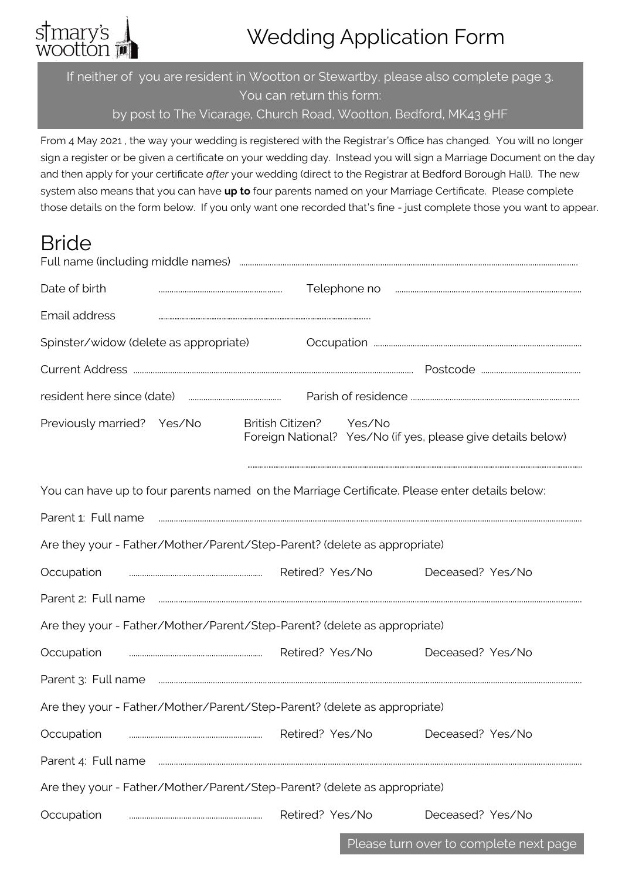# s†mary's<br>wootton

## Wedding Application Form

If neither of you are resident in Wootton or Stewartby, please also complete page 3. You can return this form:

by post to The Vicarage, Church Road, Wootton, Bedford, MK43 9HF

From 4 May 2021 , the way your wedding is registered with the Registrar's Office has changed. You will no longer sign a register or be given a certificate on your wedding day. Instead you will sign a Marriage Document on the day and then apply for your certificate *after* your wedding (direct to the Registrar at Bedford Borough Hall). The new system also means that you can have **up to** four parents named on your Marriage Certificate. Please complete those details on the form below. If you only want one recorded that's fine - just complete those you want to appear.

### Bride

| Date of birth                                                                                  |  |                         |                 |                 | Telephone no municipality in the material contract of the material contract of the material contract of the material contract of the material contract of the material contract of the material contract of the material contr |  |
|------------------------------------------------------------------------------------------------|--|-------------------------|-----------------|-----------------|--------------------------------------------------------------------------------------------------------------------------------------------------------------------------------------------------------------------------------|--|
| Email address                                                                                  |  |                         |                 |                 |                                                                                                                                                                                                                                |  |
| Spinster/widow (delete as appropriate)                                                         |  |                         |                 |                 |                                                                                                                                                                                                                                |  |
|                                                                                                |  |                         |                 |                 |                                                                                                                                                                                                                                |  |
|                                                                                                |  |                         |                 |                 |                                                                                                                                                                                                                                |  |
| Previously married? Yes/No                                                                     |  | <b>British Citizen?</b> |                 | Yes/No          | Foreign National? Yes/No (if yes, please give details below)                                                                                                                                                                   |  |
| You can have up to four parents named on the Marriage Certificate. Please enter details below: |  |                         |                 |                 |                                                                                                                                                                                                                                |  |
| Parent 1: Full name                                                                            |  |                         |                 |                 |                                                                                                                                                                                                                                |  |
| Are they your - Father/Mother/Parent/Step-Parent? (delete as appropriate)                      |  |                         |                 |                 |                                                                                                                                                                                                                                |  |
| Occupation                                                                                     |  |                         | Retired? Yes/No |                 | Deceased? Yes/No                                                                                                                                                                                                               |  |
| Parent 2: Full name                                                                            |  |                         |                 |                 |                                                                                                                                                                                                                                |  |
| Are they your - Father/Mother/Parent/Step-Parent? (delete as appropriate)                      |  |                         |                 |                 |                                                                                                                                                                                                                                |  |
| Occupation                                                                                     |  |                         |                 | Retired? Yes/No | Deceased? Yes/No                                                                                                                                                                                                               |  |
| Parent 3: Full name                                                                            |  |                         |                 |                 |                                                                                                                                                                                                                                |  |
| Are they your - Father/Mother/Parent/Step-Parent? (delete as appropriate)                      |  |                         |                 |                 |                                                                                                                                                                                                                                |  |
| Occupation                                                                                     |  |                         | Retired? Yes/No |                 | Deceased? Yes/No                                                                                                                                                                                                               |  |
| Parent 4: Full name                                                                            |  |                         |                 |                 |                                                                                                                                                                                                                                |  |
| Are they your - Father/Mother/Parent/Step-Parent? (delete as appropriate)                      |  |                         |                 |                 |                                                                                                                                                                                                                                |  |
| Occupation                                                                                     |  |                         | Retired? Yes/No |                 | Deceased? Yes/No                                                                                                                                                                                                               |  |

Please turn over to complete next page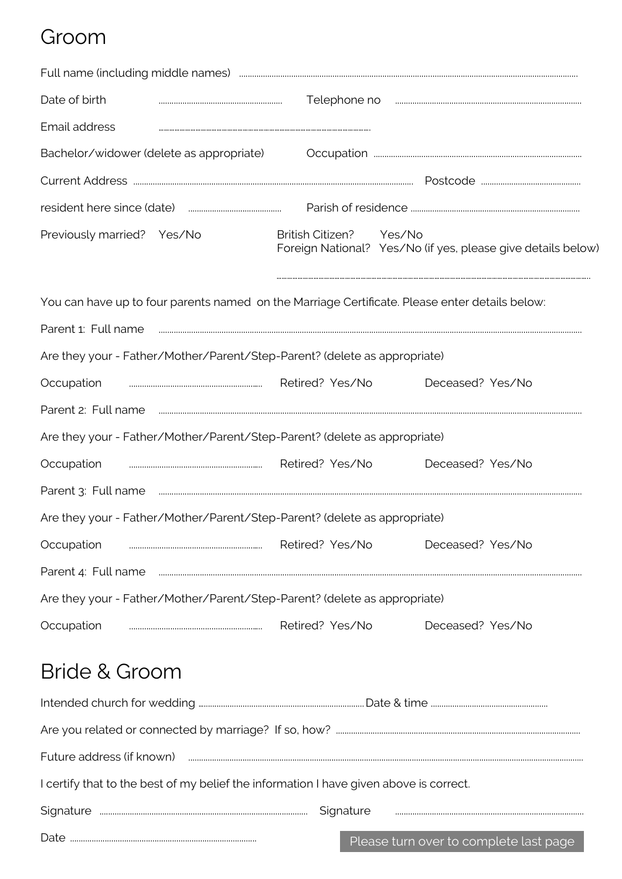#### Groom

| Date of birth                                                                                                                                                                                                                                                                                                                                                                                                                                                     |                         | Telephone no municipality in the manufacture of the manufacture of the manufacture of the manufacture of the manufacture of the manufacture of the manufacture of the manufacture of the manufacture of the manufacture of the |
|-------------------------------------------------------------------------------------------------------------------------------------------------------------------------------------------------------------------------------------------------------------------------------------------------------------------------------------------------------------------------------------------------------------------------------------------------------------------|-------------------------|--------------------------------------------------------------------------------------------------------------------------------------------------------------------------------------------------------------------------------|
| Email address                                                                                                                                                                                                                                                                                                                                                                                                                                                     |                         |                                                                                                                                                                                                                                |
| Bachelor/widower (delete as appropriate)                                                                                                                                                                                                                                                                                                                                                                                                                          |                         |                                                                                                                                                                                                                                |
|                                                                                                                                                                                                                                                                                                                                                                                                                                                                   |                         |                                                                                                                                                                                                                                |
|                                                                                                                                                                                                                                                                                                                                                                                                                                                                   |                         |                                                                                                                                                                                                                                |
| Previously married? Yes/No                                                                                                                                                                                                                                                                                                                                                                                                                                        | British Citizen? Yes/No | Foreign National? Yes/No (if yes, please give details below)                                                                                                                                                                   |
| You can have up to four parents named on the Marriage Certificate. Please enter details below:                                                                                                                                                                                                                                                                                                                                                                    |                         |                                                                                                                                                                                                                                |
| Parent 1: Full name                                                                                                                                                                                                                                                                                                                                                                                                                                               |                         |                                                                                                                                                                                                                                |
| Are they your - Father/Mother/Parent/Step-Parent? (delete as appropriate)                                                                                                                                                                                                                                                                                                                                                                                         |                         |                                                                                                                                                                                                                                |
| Occupation<br>$\begin{minipage}{0.5\textwidth} \begin{tabular}{ c c c } \hline & \multicolumn{1}{ c }{0.5\textwidth} \begin{tabular}{ c c c } \hline & \multicolumn{1}{ c }{0.5\textwidth} \begin{tabular}{ c c c } \hline & \multicolumn{1}{ c }{0.5\textwidth} \begin{tabular}{ c c c } \hline & \multicolumn{1}{ c }{0.5\textwidth} \begin{tabular}{ c c c } \hline & \multicolumn{1}{ c }{0.5\textwidth} \begin{tabular}{ c c c } \hline & \multicolumn{1}{ $ | Retired? Yes/No         | Deceased? Yes/No                                                                                                                                                                                                               |
| Parent 2: Full name                                                                                                                                                                                                                                                                                                                                                                                                                                               |                         |                                                                                                                                                                                                                                |
| Are they your - Father/Mother/Parent/Step-Parent? (delete as appropriate)                                                                                                                                                                                                                                                                                                                                                                                         |                         |                                                                                                                                                                                                                                |
| Occupation                                                                                                                                                                                                                                                                                                                                                                                                                                                        | Retired? Yes/No         | Deceased? Yes/No                                                                                                                                                                                                               |
| Parent 3: Full name                                                                                                                                                                                                                                                                                                                                                                                                                                               |                         |                                                                                                                                                                                                                                |
| Are they your - Father/Mother/Parent/Step-Parent? (delete as appropriate)                                                                                                                                                                                                                                                                                                                                                                                         |                         |                                                                                                                                                                                                                                |
| Occupation                                                                                                                                                                                                                                                                                                                                                                                                                                                        | Retired? Yes/No         | Deceased? Yes/No                                                                                                                                                                                                               |
| Parent 4: Full name                                                                                                                                                                                                                                                                                                                                                                                                                                               |                         |                                                                                                                                                                                                                                |
| Are they your - Father/Mother/Parent/Step-Parent? (delete as appropriate)                                                                                                                                                                                                                                                                                                                                                                                         |                         |                                                                                                                                                                                                                                |
| Occupation                                                                                                                                                                                                                                                                                                                                                                                                                                                        | Retired? Yes/No         | Deceased? Yes/No                                                                                                                                                                                                               |
| <b>Bride &amp; Groom</b>                                                                                                                                                                                                                                                                                                                                                                                                                                          |                         |                                                                                                                                                                                                                                |
|                                                                                                                                                                                                                                                                                                                                                                                                                                                                   |                         |                                                                                                                                                                                                                                |
|                                                                                                                                                                                                                                                                                                                                                                                                                                                                   |                         |                                                                                                                                                                                                                                |
| Future address (if known)                                                                                                                                                                                                                                                                                                                                                                                                                                         |                         |                                                                                                                                                                                                                                |

I certify that to the best of my belief the information I have given above is correct.

| - '<br>۱۲ - |  |  |
|-------------|--|--|
|             |  |  |

 $\textbf{Date} \textit{ \textbf{}} \textit{ \textbf{}} \textit{ \textbf{}} \textit{ \textbf{}} \textit{ \textbf{}} \textit{ \textbf{}} \textit{ \textbf{}} \textit{ \textbf{}} \textit{ \textbf{}} \textit{ \textbf{}} \textit{ \textbf{}} \textit{ \textbf{}} \textit{ \textbf{}} \textit{ \textbf{}} \textit{ \textbf{}} \textit{ \textbf{}} \textit{ \textbf{}} \textit{ \textbf{}} \textit{ \textbf{}} \textit{ \textbf{}} \textit{ \textbf{}} \textit{ \textbf{}} \textit{ \textbf{}} \textit{ \textbf$ 

Please turn over to complete last page